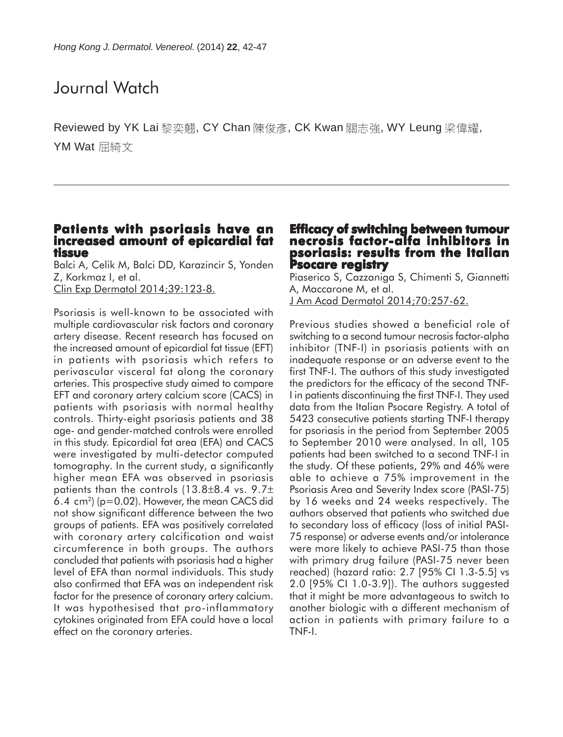# Journal Watch

Reviewed by YK Lai 黎奕翹, CY Chan 陳俊彥, CK Kwan 關志強, WY Leung 梁偉耀, YM Wat 屈綺文

#### **Patients with psoriasis have an increased amount of epicardial fat increased of tissue**

Balci A, Celik M, Balci DD, Karazincir S, Yonden Z, Korkmaz I, et al. Clin Exp Dermatol 2014;39:123-8.

Psoriasis is well-known to be associated with multiple cardiovascular risk factors and coronary artery disease. Recent research has focused on the increased amount of epicardial fat tissue (EFT) in patients with psoriasis which refers to perivascular visceral fat along the coronary arteries. This prospective study aimed to compare EFT and coronary artery calcium score (CACS) in patients with psoriasis with normal healthy controls. Thirty-eight psoriasis patients and 38 age- and gender-matched controls were enrolled in this study. Epicardial fat area (EFA) and CACS were investigated by multi-detector computed tomography. In the current study, a significantly higher mean EFA was observed in psoriasis patients than the controls (13.8±8.4 vs. 9.7± 6.4 cm<sup>2</sup>) ( $p=0.02$ ). However, the mean CACS did not show significant difference between the two groups of patients. EFA was positively correlated with coronary artery calcification and waist circumference in both groups. The authors concluded that patients with psoriasis had a higher level of EFA than normal individuals. This study also confirmed that EFA was an independent risk factor for the presence of coronary artery calcium. It was hypothesised that pro-inflammatory cytokines originated from EFA could have a local effect on the coronary arteries.

#### **Efficacy of switching between tumour necrosis factor-alfa inhibitors in psoriasis: results from the Italian Psocare registry**

Piaserico S, Cazzaniga S, Chimenti S, Giannetti A, Maccarone M, et al. J Am Acad Dermatol 2014;70:257-62.

Previous studies showed a beneficial role of switching to a second tumour necrosis factor-alpha inhibitor (TNF-I) in psoriasis patients with an inadequate response or an adverse event to the first TNF-I. The authors of this study investigated the predictors for the efficacy of the second TNF-I in patients discontinuing the first TNF-I. They used data from the Italian Psocare Registry. A total of 5423 consecutive patients starting TNF-I therapy for psoriasis in the period from September 2005 to September 2010 were analysed. In all, 105 patients had been switched to a second TNF-I in the study. Of these patients, 29% and 46% were able to achieve a 75% improvement in the Psoriasis Area and Severity Index score (PASI-75) by 16 weeks and 24 weeks respectively. The authors observed that patients who switched due to secondary loss of efficacy (loss of initial PASI-75 response) or adverse events and/or intolerance were more likely to achieve PASI-75 than those with primary drug failure (PASI-75 never been reached) (hazard ratio: 2.7 [95% CI 1.3-5.5] vs 2.0 [95% CI 1.0-3.9]). The authors suggested that it might be more advantageous to switch to another biologic with a different mechanism of action in patients with primary failure to a TNF-I.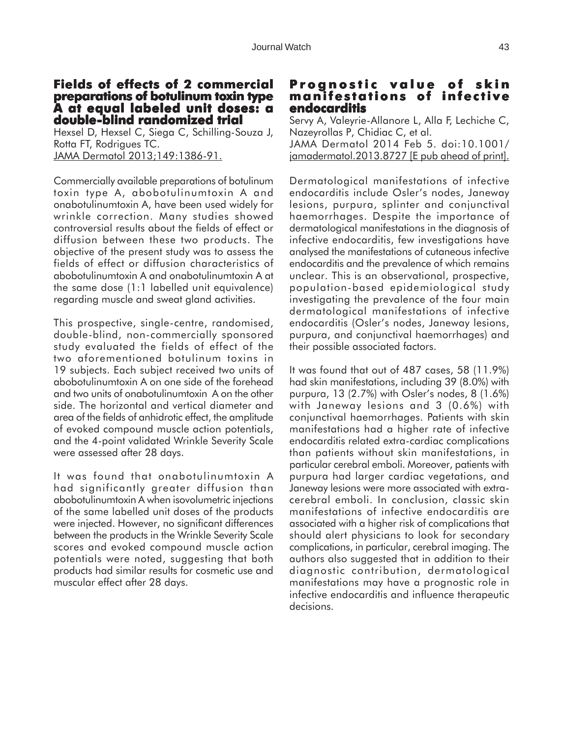# **Fields of effects of 2 commercial Fields of effects 2 preparations of botulinum toxin type A at equal labeled unit doses: a double-blind randomized trial -blind randomized**

Hexsel D, Hexsel C, Siega C, Schilling-Souza J, Rotta FT, Rodrigues TC. JAMA Dermatol 2013;149:1386-91.

Commercially available preparations of botulinum toxin type A, abobotulinumtoxin A and onabotulinumtoxin A, have been used widely for wrinkle correction. Many studies showed controversial results about the fields of effect or diffusion between these two products. The objective of the present study was to assess the fields of effect or diffusion characteristics of abobotulinumtoxin A and onabotulinumtoxin A at the same dose (1:1 labelled unit equivalence) regarding muscle and sweat gland activities.

This prospective, single-centre, randomised, double-blind, non-commercially sponsored study evaluated the fields of effect of the two aforementioned botulinum toxins in 19 subjects. Each subject received two units of abobotulinumtoxin A on one side of the forehead and two units of onabotulinumtoxin A on the other side. The horizontal and vertical diameter and area of the fields of anhidrotic effect, the amplitude of evoked compound muscle action potentials, and the 4-point validated Wrinkle Severity Scale were assessed after 28 days.

It was found that onabotulinumtoxin A had significantly greater diffusion than abobotulinumtoxin A when isovolumetric injections of the same labelled unit doses of the products were injected. However, no significant differences between the products in the Wrinkle Severity Scale scores and evoked compound muscle action potentials were noted, suggesting that both products had similar results for cosmetic use and muscular effect after 28 days.

# **Prognostic value of skin manifestations of infective endocarditis**

Servy A, Valeyrie-Allanore L, Alla F, Lechiche C, Nazeyrollas P, Chidiac C, et al. JAMA Dermatol 2014 Feb 5. doi:10.1001/ jamadermatol.2013.8727 [E pub ahead of print].

Dermatological manifestations of infective endocarditis include Osler's nodes, Janeway lesions, purpura, splinter and conjunctival haemorrhages. Despite the importance of dermatological manifestations in the diagnosis of infective endocarditis, few investigations have analysed the manifestations of cutaneous infective endocarditis and the prevalence of which remains unclear. This is an observational, prospective, population-based epidemiological study investigating the prevalence of the four main dermatological manifestations of infective endocarditis (Osler's nodes, Janeway lesions, purpura, and conjunctival haemorrhages) and their possible associated factors.

It was found that out of 487 cases, 58 (11.9%) had skin manifestations, including 39 (8.0%) with purpura, 13 (2.7%) with Osler's nodes, 8 (1.6%) with Janeway lesions and 3 (0.6%) with conjunctival haemorrhages. Patients with skin manifestations had a higher rate of infective endocarditis related extra-cardiac complications than patients without skin manifestations, in particular cerebral emboli. Moreover, patients with purpura had larger cardiac vegetations, and Janeway lesions were more associated with extracerebral emboli. In conclusion, classic skin manifestations of infective endocarditis are associated with a higher risk of complications that should alert physicians to look for secondary complications, in particular, cerebral imaging. The authors also suggested that in addition to their diagnostic contribution, dermatological manifestations may have a prognostic role in infective endocarditis and influence therapeutic decisions.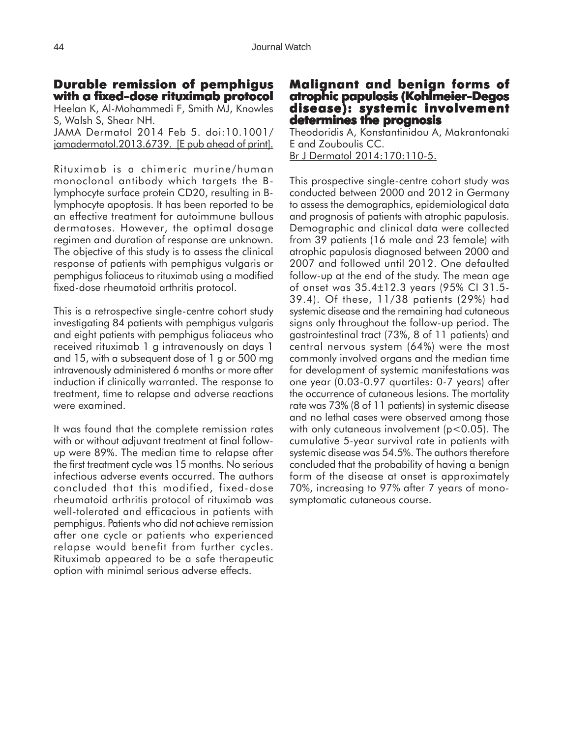#### **Durable remission of pemphigus with a fixed-dose rituximab protocol dose**

Heelan K, Al-Mohammedi F, Smith MJ, Knowles S, Walsh S, Shear NH. JAMA Dermatol 2014 Feb 5. doi:10.1001/ jamadermatol.2013.6739. [E pub ahead of print].

Rituximab is a chimeric murine/human monoclonal antibody which targets the Blymphocyte surface protein CD20, resulting in Blymphocyte apoptosis. It has been reported to be an effective treatment for autoimmune bullous dermatoses. However, the optimal dosage regimen and duration of response are unknown. The objective of this study is to assess the clinical response of patients with pemphigus vulgaris or pemphigus foliaceus to rituximab using a modified fixed-dose rheumatoid arthritis protocol.

This is a retrospective single-centre cohort study investigating 84 patients with pemphigus vulgaris and eight patients with pemphigus foliaceus who received rituximab 1 g intravenously on days 1 and 15, with a subsequent dose of 1 g or 500 mg intravenously administered 6 months or more after induction if clinically warranted. The response to treatment, time to relapse and adverse reactions were examined.

It was found that the complete remission rates with or without adjuvant treatment at final followup were 89%. The median time to relapse after the first treatment cycle was 15 months. No serious infectious adverse events occurred. The authors concluded that this modified, fixed-dose rheumatoid arthritis protocol of rituximab was well-tolerated and efficacious in patients with pemphigus. Patients who did not achieve remission after one cycle or patients who experienced relapse would benefit from further cycles. Rituximab appeared to be a safe therapeutic option with minimal serious adverse effects.

#### **Malignant and benign forms of atrophic papulosis (Kohlmeier-Degos disease): systemic involvement involvement determines the prognosis**

Theodoridis A, Konstantinidou A, Makrantonaki E and Zouboulis CC. Br J Dermatol 2014:170:110-5.

This prospective single-centre cohort study was conducted between 2000 and 2012 in Germany to assess the demographics, epidemiological data and prognosis of patients with atrophic papulosis. Demographic and clinical data were collected from 39 patients (16 male and 23 female) with atrophic papulosis diagnosed between 2000 and 2007 and followed until 2012. One defaulted follow-up at the end of the study. The mean age of onset was 35.4±12.3 years (95% CI 31.5- 39.4). Of these, 11/38 patients (29%) had systemic disease and the remaining had cutaneous signs only throughout the follow-up period. The gastrointestinal tract (73%, 8 of 11 patients) and central nervous system (64%) were the most commonly involved organs and the median time for development of systemic manifestations was one year (0.03-0.97 quartiles: 0-7 years) after the occurrence of cutaneous lesions. The mortality rate was 73% (8 of 11 patients) in systemic disease and no lethal cases were observed among those with only cutaneous involvement (p<0.05). The cumulative 5-year survival rate in patients with systemic disease was 54.5%. The authors therefore concluded that the probability of having a benign form of the disease at onset is approximately 70%, increasing to 97% after 7 years of monosymptomatic cutaneous course.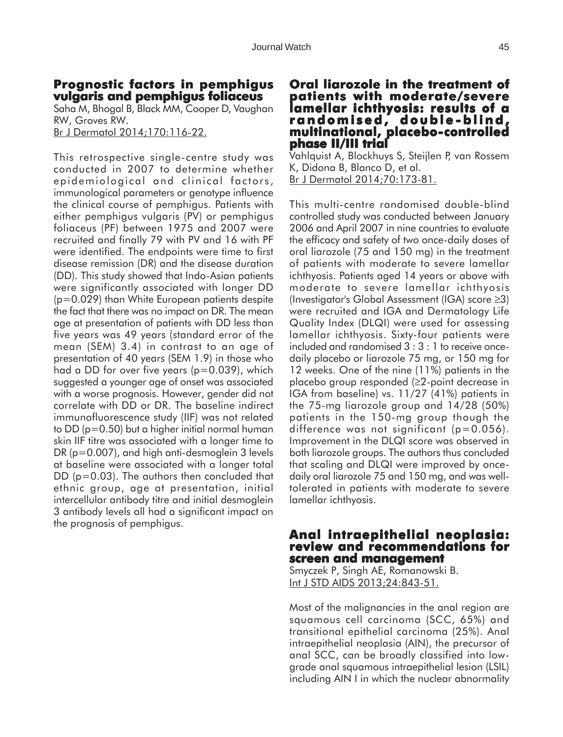# **Prognostic factors in pemphigus vulgaris and pemphigus foliaceus**

Saha M, Bhogal B, Black MM, Cooper D, Vaughan RW, Groves RW. Br J Dermatol 2014;170:116-22.

This retrospective single-centre study was conducted in 2007 to determine whether epidemiological and clinical factors, immunological parameters or genotype influence the clinical course of pemphigus. Patients with either pemphigus vulgaris (PV) or pemphigus foliaceus (PF) between 1975 and 2007 were recruited and finally 79 with PV and 16 with PF were identified. The endpoints were time to first disease remission (DR) and the disease duration (DD). This study showed that Indo-Asian patients were significantly associated with longer DD (p=0.029) than White European patients despite the fact that there was no impact on DR. The mean age at presentation of patients with DD less than five years was 49 years (standard error of the mean (SEM) 3.4) in contrast to an age of presentation of 40 years (SEM 1.9) in those who had a DD for over five years (p=0.039), which suggested a younger age of onset was associated with a worse prognosis. However, gender did not correlate with DD or DR. The baseline indirect immunofluorescence study (IIF) was not related to DD (p=0.50) but a higher initial normal human skin IIF titre was associated with a longer time to DR (p=0.007), and high anti-desmoglein 3 levels at baseline were associated with a longer total DD (p=0.03). The authors then concluded that ethnic group, age at presentation, initial intercellular antibody titre and initial desmoglein 3 antibody levels all had a significant impact on the prognosis of pemphigus.

### **Oral liarozole in the treatment of liarozole in treatment of patients with moderate/severe lamellar ichthyosis: results of a randomised, double -blind, -blind, multinational, placebo-controlled phase II/III trial II/III trial**

Vahlquist A, Blockhuys S, Steijlen P, van Rossem K, Didona B, Blanco D, et al. Br J Dermatol 2014;70:173-81.

This multi-centre randomised double-blind controlled study was conducted between January 2006 and April 2007 in nine countries to evaluate the efficacy and safety of two once-daily doses of oral liarozole (75 and 150 mg) in the treatment of patients with moderate to severe lamellar ichthyosis. Patients aged 14 years or above with moderate to severe lamellar ichthyosis (Investigator's Global Assessment (IGA) score ≥3) were recruited and IGA and Dermatology Life Quality Index (DLQI) were used for assessing lamellar ichthyosis. Sixty-four patients were included and randomised 3 : 3 : 1 to receive oncedaily placebo or liarozole 75 mg, or 150 mg for 12 weeks. One of the nine (11%) patients in the placebo group responded (≥2-point decrease in IGA from baseline) vs. 11/27 (41%) patients in the 75-mg liarozole group and 14/28 (50%) patients in the 150-mg group though the difference was not significant (p=0.056). Improvement in the DLQI score was observed in both liarozole groups. The authors thus concluded that scaling and DLQI were improved by oncedaily oral liarozole 75 and 150 mg, and was welltolerated in patients with moderate to severe lamellar ichthyosis.

## **Anal intraepithelial neoplasia: Anal intraepithelial neoplasia: review and recommendations for screen and management screen and**

Smyczek P, Singh AE, Romanowski B. Int J STD AIDS 2013;24:843-51.

Most of the malignancies in the anal region are squamous cell carcinoma (SCC, 65%) and transitional epithelial carcinoma (25%). Anal intraepithelial neoplasia (AIN), the precursor of anal SCC, can be broadly classified into lowgrade anal squamous intraepithelial lesion (LSIL) including AIN I in which the nuclear abnormality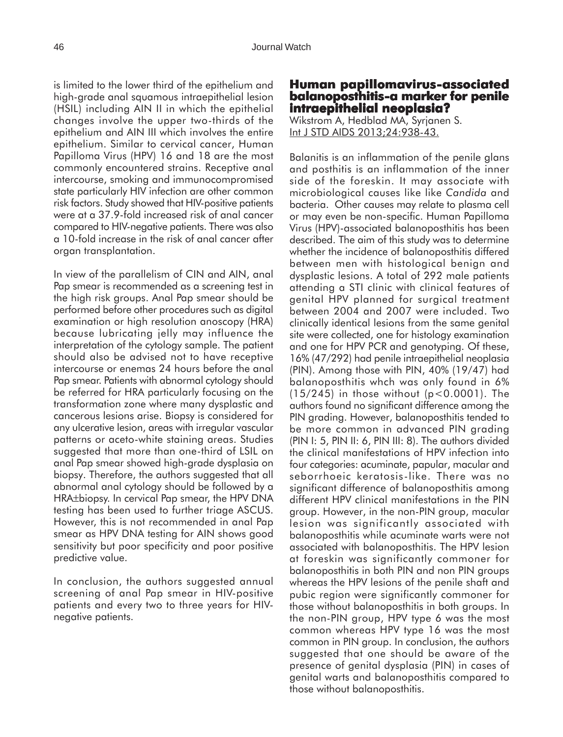is limited to the lower third of the epithelium and high-grade anal squamous intraepithelial lesion (HSIL) including AIN II in which the epithelial changes involve the upper two-thirds of the epithelium and AIN III which involves the entire epithelium. Similar to cervical cancer, Human Papilloma Virus (HPV) 16 and 18 are the most commonly encountered strains. Receptive anal intercourse, smoking and immunocompromised state particularly HIV infection are other common risk factors. Study showed that HIV-positive patients were at a 37.9-fold increased risk of anal cancer compared to HIV-negative patients. There was also a 10-fold increase in the risk of anal cancer after organ transplantation.

In view of the parallelism of CIN and AIN, anal Pap smear is recommended as a screening test in the high risk groups. Anal Pap smear should be performed before other procedures such as digital examination or high resolution anoscopy (HRA) because lubricating jelly may influence the interpretation of the cytology sample. The patient should also be advised not to have receptive intercourse or enemas 24 hours before the anal Pap smear. Patients with abnormal cytology should be referred for HRA particularly focusing on the transformation zone where many dysplastic and cancerous lesions arise. Biopsy is considered for any ulcerative lesion, areas with irregular vascular patterns or aceto-white staining areas. Studies suggested that more than one-third of LSIL on anal Pap smear showed high-grade dysplasia on biopsy. Therefore, the authors suggested that all abnormal anal cytology should be followed by a HRA±biopsy. In cervical Pap smear, the HPV DNA testing has been used to further triage ASCUS. However, this is not recommended in anal Pap smear as HPV DNA testing for AIN shows good sensitivity but poor specificity and poor positive predictive value.

In conclusion, the authors suggested annual screening of anal Pap smear in HIV-positive patients and every two to three years for HIVnegative patients.

# **Human papillomavirus-associated balanoposthitis-a marker for penile intraepithelial neoplasia?**

Wikstrom A, Hedblad MA, Syrjanen S. Int J STD AIDS 2013;24:938-43.

Balanitis is an inflammation of the penile glans and posthitis is an inflammation of the inner side of the foreskin. It may associate with microbiological causes like like *Candida* and bacteria. Other causes may relate to plasma cell or may even be non-specific. Human Papilloma Virus (HPV)-associated balanoposthitis has been described. The aim of this study was to determine whether the incidence of balanoposthitis differed between men with histological benign and dysplastic lesions. A total of 292 male patients attending a STI clinic with clinical features of genital HPV planned for surgical treatment between 2004 and 2007 were included. Two clinically identical lesions from the same genital site were collected, one for histology examination and one for HPV PCR and genotyping. Of these, 16% (47/292) had penile intraepithelial neoplasia (PIN). Among those with PIN, 40% (19/47) had balanoposthitis whch was only found in 6% (15/245) in those without (p<0.0001). The authors found no significant difference among the PIN arading. However, balanoposthitis tended to be more common in advanced PIN grading (PIN I: 5, PIN II: 6, PIN III: 8). The authors divided the clinical manifestations of HPV infection into four categories: acuminate, papular, macular and seborrhoeic keratosis-like. There was no significant difference of balanoposthitis among different HPV clinical manifestations in the PIN group. However, in the non-PIN group, macular lesion was significantly associated with balanoposthitis while acuminate warts were not associated with balanoposthitis. The HPV lesion at foreskin was significantly commoner for balanoposthitis in both PIN and non PIN groups whereas the HPV lesions of the penile shaft and pubic region were significantly commoner for those without balanoposthitis in both groups. In the non-PIN group, HPV type 6 was the most common whereas HPV type 16 was the most common in PIN group. In conclusion, the authors suggested that one should be aware of the presence of genital dysplasia (PIN) in cases of genital warts and balanoposthitis compared to those without balanoposthitis.